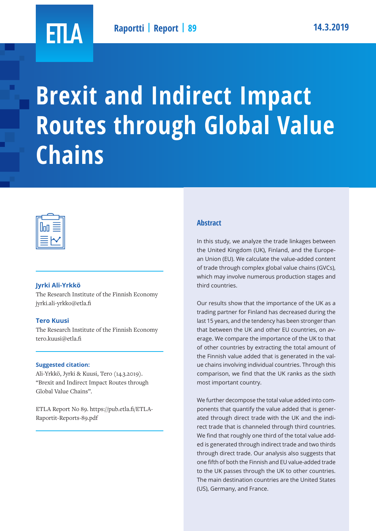

# **Brexit and Indirect Impact Routes through Global Value Chains**



### **Jyrki Ali-Yrkkö**

The Research Institute of the Finnish Economy jyrki.ali-yrkko@etla.fi

# **Tero Kuusi**

The Research Institute of the Finnish Economy tero.kuusi@etla.fi

### **Suggested citation:**

Ali-Yrkkö, Jyrki & Kuusi, Tero (14.3.2019). "Brexit and Indirect Impact Routes through Global Value Chains".

ETLA Report No 89. https://pub.etla.fi/ETLA-Raportit-Reports-89.pdf

# **Abstract**

In this study, we analyze the trade linkages between the United Kingdom (UK), Finland, and the European Union (EU). We calculate the value-added content of trade through complex global value chains (GVCs), which may involve numerous production stages and third countries.

Our results show that the importance of the UK as a trading partner for Finland has decreased during the last 15 years, and the tendency has been stronger than that between the UK and other EU countries, on average. We compare the importance of the UK to that of other countries by extracting the total amount of the Finnish value added that is generated in the value chains involving individual countries. Through this comparison, we find that the UK ranks as the sixth most important country.

We further decompose the total value added into components that quantify the value added that is generated through direct trade with the UK and the indirect trade that is channeled through third countries. We find that roughly one third of the total value added is generated through indirect trade and two thirds through direct trade. Our analysis also suggests that one fifth of both the Finnish and EU value-added trade to the UK passes through the UK to other countries. The main destination countries are the United States (US), Germany, and France.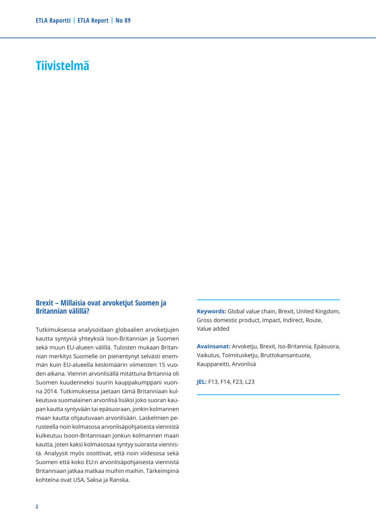# **Tiivistelmä**

### **Brexit – Millaisia ovat arvoketjut Suomen ja Britannian välillä?**

Tutkimuksessa analysoidaan globaalien arvoketjujen kautta syntyviä yhteyksiä Ison-Britannian ja Suomen sekä muun EU-alueen välillä. Tulosten mukaan Britannian merkitys Suomelle on pienentynyt selvästi enemmän kuin EU-alueella keskimäärin viimeisten 15 vuoden aikana. Viennin arvonlisällä mitattuna Britannia oli Suomen kuudenneksi suurin kauppakumppani vuonna 2014. Tutkimuksessa jaetaan tämä Britanniaan kulkeutuva suomalainen arvonlisä lisäksi joko suoran kaupan kautta syntyvään tai epäsuoraan, jonkin kolmannen maan kautta ohjautuvaan arvonlisään. Laskelmien perusteella noin kolmasosa arvonlisäpohjaisesta viennistä kulkeutuu Isoon-Britanniaan jonkun kolmannen maan kautta, joten kaksi kolmasosaa syntyy suorasta viennistä. Analyysit myös osoittivat, että noin viidesosa sekä Suomen että koko EU:n arvonlisäpohjaisesta viennistä Britanniaan jatkaa matkaa muihin maihin. Tärkeimpinä kohteina ovat USA, Saksa ja Ranska.

**Keywords:** Global value chain, Brexit, United Kingdom, Gross domestic product, Impact, Indirect, Route, Value added

**Avainsanat:** Arvoketju, Brexit, Iso-Britannia, Epäsuora, Vaikutus, Toimitusketju, Bruttokansantuote, Kauppareitti, Arvonlisä

**JEL:** F13, F14, F23, L23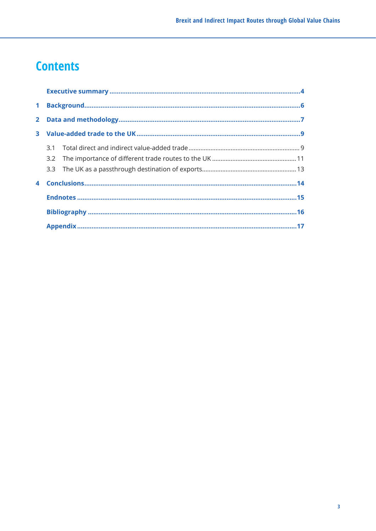# **Contents**

| 4 |  |  |
|---|--|--|
|   |  |  |
|   |  |  |
|   |  |  |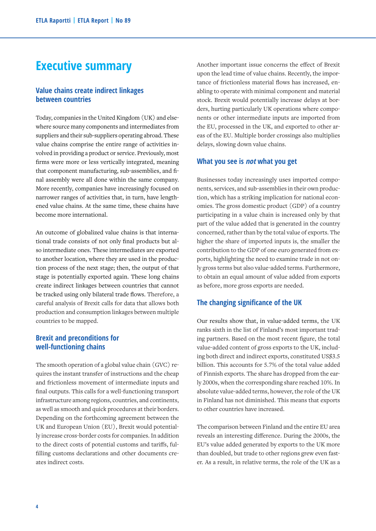# **Executive summary**

# **Value chains create indirect linkages between countries**

Today, companies in the United Kingdom (UK) and elsewhere source many components and intermediates from suppliers and their sub-suppliers operating abroad. These value chains comprise the entire range of activities involved in providing a product or service. Previously, most firms were more or less vertically integrated, meaning that component manufacturing, sub-assemblies, and final assembly were all done within the same company. More recently, companies have increasingly focused on narrower ranges of activities that, in turn, have lengthened value chains. At the same time, these chains have become more international.

An outcome of globalized value chains is that international trade consists of not only final products but also intermediate ones. These intermediates are exported to another location, where they are used in the production process of the next stage; then, the output of that stage is potentially exported again. These long chains create indirect linkages between countries that cannot be tracked using only bilateral trade flows. Therefore, a careful analysis of Brexit calls for data that allows both production and consumption linkages between multiple countries to be mapped.

# **Brexit and preconditions for well-functioning chains**

The smooth operation of a global value chain (GVC) requires the instant transfer of instructions and the cheap and frictionless movement of intermediate inputs and final outputs. This calls for a well-functioning transport infrastructure among regions, countries, and continents, as well as smooth and quick procedures at their borders. Depending on the forthcoming agreement between the UK and European Union (EU), Brexit would potentially increase cross-border costs for companies. In addition to the direct costs of potential customs and tariffs, fulfilling customs declarations and other documents creates indirect costs.

Another important issue concerns the effect of Brexit upon the lead time of value chains. Recently, the importance of frictionless material flows has increased, enabling to operate with minimal component and material stock. Brexit would potentially increase delays at borders, hurting particularly UK operations where components or other intermediate inputs are imported from the EU, processed in the UK, and exported to other areas of the EU. Multiple border crossings also multiplies delays, slowing down value chains.

### **What you see is not what you get**

Businesses today increasingly uses imported components, services, and sub-assemblies in their own production, which has a striking implication for national economies. The gross domestic product (GDP) of a country participating in a value chain is increased only by that part of the value added that is generated in the country concerned, rather than by the total value of exports. The higher the share of imported inputs is, the smaller the contribution to the GDP of one euro generated from exports, highlighting the need to examine trade in not only gross terms but also value-added terms. Furthermore, to obtain an equal amount of value added from exports as before, more gross exports are needed.

### **The changing significance of the UK**

Our results show that, in value-added terms, the UK ranks sixth in the list of Finland's most important trading partners. Based on the most recent figure, the total value-added content of gross exports to the UK, including both direct and indirect exports, constituted US\$3.5 billion. This accounts for 5.7% of the total value added of Finnish exports. The share has dropped from the early 2000s, when the corresponding share reached 10%. In absolute value-added terms, however, the role of the UK in Finland has not diminished. This means that exports to other countries have increased.

The comparison between Finland and the entire EU area reveals an interesting difference. During the 2000s, the EU's value added generated by exports to the UK more than doubled, but trade to other regions grew even faster. As a result, in relative terms, the role of the UK as a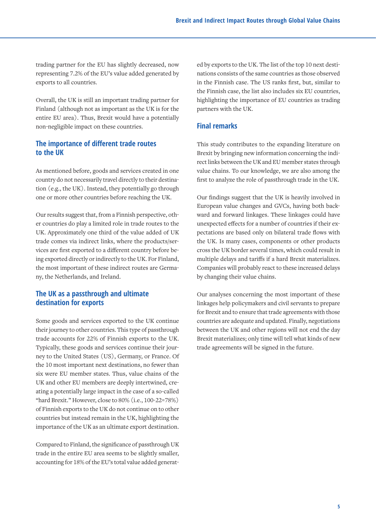trading partner for the EU has slightly decreased, now representing 7.2% of the EU's value added generated by exports to all countries.

Overall, the UK is still an important trading partner for Finland (although not as important as the UK is for the entire EU area). Thus, Brexit would have a potentially non-negligible impact on these countries.

# **The importance of different trade routes to the UK**

As mentioned before, goods and services created in one country do not necessarily travel directly to their destination (e.g., the UK). Instead, they potentially go through one or more other countries before reaching the UK.

Our results suggest that, from a Finnish perspective, other countries do play a limited role in trade routes to the UK. Approximately one third of the value added of UK trade comes via indirect links, where the products/services are first exported to a different country before being exported directly or indirectly to the UK. For Finland, the most important of these indirect routes are Germany, the Netherlands, and Ireland.

# **The UK as a passthrough and ultimate destination for exports**

Some goods and services exported to the UK continue their journey to other countries. This type of passthrough trade accounts for 22% of Finnish exports to the UK. Typically, these goods and services continue their journey to the United States (US), Germany, or France. Of the 10 most important next destinations, no fewer than six were EU member states. Thus, value chains of the UK and other EU members are deeply intertwined, creating a potentially large impact in the case of a so-called "hard Brexit." However, close to 80% (i.e., 100-22=78%) of Finnish exports to the UK do not continue on to other countries but instead remain in the UK, highlighting the importance of the UK as an ultimate export destination.

Compared to Finland, the significance of passthrough UK trade in the entire EU area seems to be slightly smaller, accounting for 18% of the EU's total value added generated by exports to the UK. The list of the top 10 next destinations consists of the same countries as those observed in the Finnish case. The US ranks first, but, similar to the Finnish case, the list also includes six EU countries, highlighting the importance of EU countries as trading partners with the UK.

### **Final remarks**

This study contributes to the expanding literature on Brexit by bringing new information concerning the indirect links between the UK and EU member states through value chains. To our knowledge, we are also among the first to analyze the role of passthrough trade in the UK.

Our findings suggest that the UK is heavily involved in European value changes and GVCs, having both backward and forward linkages. These linkages could have unexpected effects for a number of countries if their expectations are based only on bilateral trade flows with the UK. Is many cases, components or other products cross the UK border several times, which could result in multiple delays and tariffs if a hard Brexit materializes. Companies will probably react to these increased delays by changing their value chains.

Our analyses concerning the most important of these linkages help policymakers and civil servants to prepare for Brexit and to ensure that trade agreements with those countries are adequate and updated. Finally, negotiations between the UK and other regions will not end the day Brexit materializes; only time will tell what kinds of new trade agreements will be signed in the future.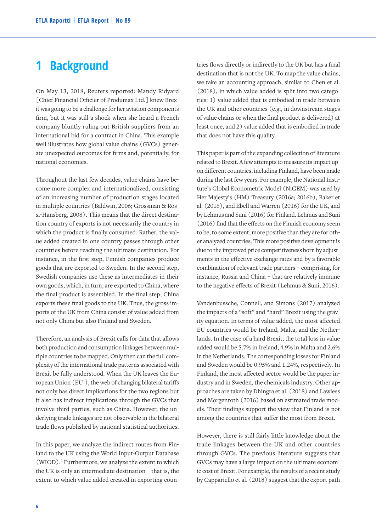# **1 Background**

On May 13, 2018, Reuters reported: Mandy Ridyard [Chief Financial Officier of Produmax Ltd.] knew Brexit was going to be a challenge for her aviation components firm, but it was still a shock when she heard a French company bluntly ruling out British suppliers from an international bid for a contract in China. This example well illustrates how global value chains (GVCs) generate unexpected outcomes for firms and, potentially, for national economies.

Throughout the last few decades, value chains have become more complex and internationalized, consisting of an increasing number of production stages located in multiple countries (Baldwin, 2006; Grossman & Rossi-Hansberg, 2008). This means that the direct destination country of exports is not necessarily the country in which the product is finally consumed. Rather, the value added created in one country passes through other countries before reaching the ultimate destination. For instance, in the first step, Finnish companies produce goods that are exported to Sweden. In the second step, Swedish companies use these as intermediates in their own goods, which, in turn, are exported to China, where the final product is assembled. In the final step, China exports these final goods to the UK. Thus, the gross imports of the UK from China consist of value added from not only China but also Finland and Sweden.

Therefore, an analysis of Brexit calls for data that allows both production and consumption linkages between multiple countries to be mapped. Only then can the full complexity of the international trade patterns associated with Brexit be fully understood. When the UK leaves the European Union (EU<sup>1</sup>), the web of changing bilateral tariffs not only has direct implications for the two regions but it also has indirect implications through the GVCs that involve third parties, such as China. However, the underlying trade linkages are not observable in the bilateral trade flows published by national statistical authorities.

In this paper, we analyze the indirect routes from Finland to the UK using the World Input-Output Database (WIOD).2 Furthermore, we analyze the extent to which the UK is only an intermediate destination – that is, the extent to which value added created in exporting countries flows directly or indirectly to the UK but has a final destination that is not the UK. To map the value chains, we take an accounting approach, similar to Chen et al. (2018), in which value added is split into two categories: 1) value added that is embodied in trade between the UK and other countries (e.g., in downstream stages of value chains or when the final product is delivered) at least once, and 2) value added that is embodied in trade that does not have this quality.

This paper is part of the expanding collection of literature related to Brexit. A few attempts to measure its impact upon different countries, including Finland, have been made during the last few years. For example, the National Institute's Global Econometric Model (NiGEM) was used by Her Majesty's (HM) Treasury (2016a; 2016b), Baker et al. (2016), and Ebell and Warren (2016) for the UK, and by Lehmus and Suni (2016) for Finland. Lehmus and Suni (2016) find that the effects on the Finnish economy seem to be, to some extent, more positive than they are for other analyzed countries. This more positive development is due to the improved price competitiveness born by adjustments in the effective exchange rates and by a favorable combination of relevant trade partners – comprising, for instance, Russia and China – that are relatively immune to the negative effects of Brexit (Lehmus & Suni, 2016).

Vandenbussche, Connell, and Simons (2017) analyzed the impacts of a "soft" and "hard" Brexit using the gravity equation. In terms of value added, the most affected EU countries would be Ireland, Malta, and the Netherlands. In the case of a hard Brexit, the total loss in value added would be 5.7% in Ireland, 4.9% in Malta and 2.6% in the Netherlands. The corresponding losses for Finland and Sweden would be 0.95% and 1.24%, respectively. In Finland, the most affected sector would be the paper industry and in Sweden, the chemicals industry. Other approaches are taken by Dhingra et al. (2018) and Lawless and Morgenroth (2016) based on estimated trade models. Their findings support the view that Finland is not among the countries that suffer the most from Brexit.

However, there is still fairly little knowledge about the trade linkages between the UK and other countries through GVCs. The previous literature suggests that GVCs may have a large impact on the ultimate economic cost of Brexit. For example, the results of a recent study by Cappariello et al. (2018) suggest that the export path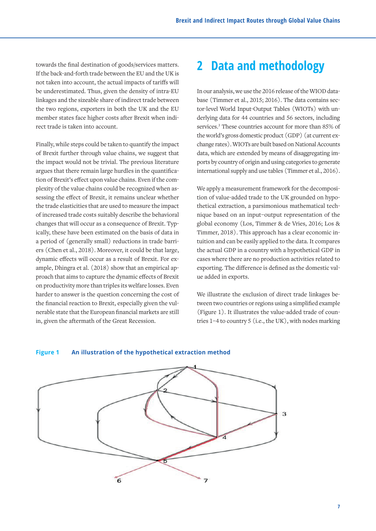towards the final destination of goods/services matters. If the back-and-forth trade between the EU and the UK is not taken into account, the actual impacts of tariffs will be underestimated. Thus, given the density of intra-EU linkages and the sizeable share of indirect trade between the two regions, exporters in both the UK and the EU member states face higher costs after Brexit when indirect trade is taken into account.

Finally, while steps could be taken to quantify the impact of Brexit further through value chains, we suggest that the impact would not be trivial. The previous literature argues that there remain large hurdles in the quantification of Brexit's effect upon value chains. Even if the complexity of the value chains could be recognized when assessing the effect of Brexit, it remains unclear whether the trade elasticities that are used to measure the impact of increased trade costs suitably describe the behavioral changes that will occur as a consequence of Brexit. Typically, these have been estimated on the basis of data in a period of (generally small) reductions in trade barriers (Chen et al., 2018). Moreover, it could be that large, dynamic effects will occur as a result of Brexit. For example, Dhingra et al. (2018) show that an empirical approach that aims to capture the dynamic effects of Brexit on productivity more than triples its welfare losses. Even harder to answer is the question concerning the cost of We illustrate the exclusion the financial reaction to Brexit, especially given the vul-<br>tween two countries or region nerable state that the European financial markets are still in, given the aftermath of the Great Recession. 
<br>
tries 1-4 to country 5 (i.e., t

# **2 Data and methodology**

In our analysis, we use the 2016 release of the WIOD database (Timmer et al., 2015; 2016). The data contains sector-level World Input-Output Tables (WIOTs) with underlying data for 44 countries and 56 sectors, including services.<sup>3</sup> These countries account for more than 85% of the world's gross domestic product (GDP) (at current exchange rates). WIOTs are built based on National Accounts data, which are extended by means of disaggregating imports by country of origin and using categories to generate international supply and use tables (Timmer et al., 2016).

We apply a measurement framework for the decomposition of value-added trade to the UK grounded on hypothetical extraction, a parsimonious mathematical technique based on an input–output representation of the global economy (Los, Timmer & de Vries, 2016; Los & Timmer, 2018). This approach has a clear economic intuition and can be easily applied to the data. It compares the actual GDP in a country with a hypothetical GDP in cases where there are no production activities related to exporting. The difference is defined as the domestic value added in exports.

We illustrate the exclusion of direct trade linkages between two countries or regions using a simplified example (Figure 1). It illustrates the value-added trade of countries 1–4 to country 5 (i.e., the UK), with nodes marking



#### **Figure 1 An illustration of the hypothetical extraction method**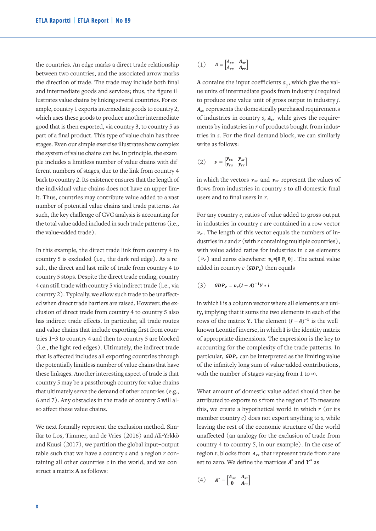the countries. An edge marks a direct trade relationship  $(1)$   $A = \begin{bmatrix} A_{ss} & A_{sr} \\ A_{rs} & A_{rr} \end{bmatrix}$ between two countries, and the associated arrow marks  $(1, 1)$ the direction of trade. The trade may include both final  $\bf{A}$  contains the input coefficients  $a_{ij}$ and intermediate goods and services; thus, the figure il- equility of intermedia lustrates value chains by linking several countries. For ex- to produce one value unit of gross o ample, country 1 exports intermediate goods to country 2,  $A_{ss}$  represents the domestically purchased  $A_{ss}$ ample, country 1 exports intermediate goods to country 2, which uses these goods to produce another intermediate requirements and the requirements of industries in country *s*, while special is then exported, via country *3*, to country *5* as ments by industries in *r* of products b part of a final product. This type of value chain has three tries in *s*. For the final product. This type of value chain has three stages. Even our simple exercise illustrates how complex write as follows: the system of value chains can be. In principle, the exam-<br> $[1]$ ple includes a limitless number of value chains with different numbers of stages, due to the link from country 4 back to country 2. Its existence ensures that the length of the individual value chains does not have an upper limit. Thus, countries may contribute value added to a vast number of potential value chains and trade patterns. As such, the key challenge of GVC analysis is accounting for For any country c, ratios of value add the total value added included in such trade patterns (i.e.,  $\qquad \qquad$  in industries in country  $c$  are contain the value-added trade).  $\frac{1}{2}$ rances, and the associated arrow marks<br>and  $\alpha$  contains the input coefficients  $a_{\alpha}$ , which give the vala **contains the intermediate** give the value of intermediate good intermediate good in the value of industries  $\frac{1}{2}$  $\alpha$  exam-

In this example, the direct trade link from country 4 to *vector in vector and interestance reting* the numbers of *r* and *ratios* for industries in *r* country 5 is excluded (i.e., the dark red edge). As a re-  $(\bar{v}_c)$  and zeros elsewhere:  $v_c = [0 \bar{v}_c$ sult, the direct and last mile of trade from country 4 to  $\frac{1}{2}$  country 5 stops. Despite the direct trade ending, country 4 can still trade with country 5 via indirect trade (i.e., via  $(3)$   $GDP_c = v_c (I - A)^{-1} Y * i$ country 2). Typically, we allow such trade to be unaffected when direct trade barriers are raised. However, the ex-<br>in which i is a column vector where all ele: clusion of direct trade from country 4 to country 5 also the indirect trade effects. In particular, all trade routes **inverse, in the matrix <b>Y**. The element and value chains that include exporting first from coun-hown Leontief inverse, in which I is the i tries 1–3 to country 4 and then to country 5 are blocked (i.e., the light red edges). Ultimately, the indirect trade that is affected includes all exporting countries through the potentially limitless number of value chains that have these linkages. Another interesting aspect of trade is that country 5 may be a passthrough country for value chains that ultimately serve the demand of other countries (e.g., What amount of domestic value ade 6 and 7). Any obstacles in the trade of country 5 will al- attributions, when the number of  $\alpha$ so affect these value chains.  $\mathsf{t}$ matrix of appropriate dimensions. The expression is the key to accounting for the trade trade trade trade trade trade trade trade trade trade trade trade trade trade trade trade trade trade trade trade trade trade in which the vectors and represent the values of flows from industries in country *s* to all domestic

We next formally represent the exclusion method. Sim-<br>leaving the rest of the economic stru ilar to Los, Timmer, and de Vries (2016) and Ali-Yrkkö and Kuusi (2017), we partition the global input-output country 4 to country 5, in our examp table such that we have a country *s* and a region *r* con-<br>region *r*, blocks from  $A_{rs}$  that represent taining all other countries *c* in the world, and we con-<br>trade from *r* are set to *r* are set to *r* and *r* and *r* are set to *r* and *r* and *r* and *r* and *r* and *r* and *r* and *r* and *r* and *r* and *r* and *r* struct a matrix **A** as follows:

s. An edge marks a direct trade relationship 
$$
(1) \quad A = \begin{bmatrix} A_{ss} & A_{sr} \\ A_{rs} & A_{rr} \end{bmatrix}
$$
 countries, and the associated arrow marks

be a passion for value chains that ultimately serve that ultimately serve the demonstration  $\epsilon$ 

be a passion for value chains that ultimately serve that ultimately serve the demonstration  $\epsilon$ 

**A** contains the input coefficients  $a_{ij}$ , which give the val- $\frac{1}{2}$  is contained the top of contact the  $a_{ij}$ , where give the start of the units of intermediate goods from industry *i* required to produce one value unit of gross output in industry *j*.  $A_{ss}$  represents the domestically purchased requirements  $A_{ss}$  represents the domestically purchased requirements<br>the of industries in country  $s$ ,  $A_{sr}$  while gives the require $r$  of products bought from industries in *s*. For the final demand block, we can similarly write as follows:  $\mathbf{y} = \mathbf{y}$ A contains the input coefficie hence of the device best and the company of the company of the company of the company of the company of the company of the company of the company of the company of the company of the company of the company of the company o  $\frac{1}{2}$  and  $\frac{1}{2}$  and  $\frac{1}{2}$  and  $\frac{1}{2}$  and  $\frac{1}{2}$  and  $\frac{1}{2}$  and  $\frac{1}{2}$  and  $\frac{1}{2}$  and  $\frac{1}{2}$  and  $\frac{1}{2}$  and  $\frac{1}{2}$  and  $\frac{1}{2}$  and  $\frac{1}{2}$  and  $\frac{1}{2}$  and  $\frac{1}{2}$  and  $\frac{1}{2}$  a containing all other countries *c* in the world, and we construct a matrix **A** as follows: as three *in* tries in s. For the final demand block, we can similarly to **produce in the set of**  $g$   $\alpha$  *i.*  $\alpha$  *is the domestically purchased the domestically purchased the domestically purchased the domestically purchased the domestically purchased the domestically purchased* 

7). Any obstacles in the trade of country 5 will also affect these value chains.

with dif-  
quatrix 4 
$$
y = \begin{bmatrix} y_{ss} & y_{sr} \\ y_{rs} & y_{rr} \end{bmatrix}
$$

of in which the vectors  $y_{ss}$  and  $y_{sr}$  represent the values of flows from industries in country s to all domestic final For a vast users and to final users in *r*. vector and to multiple of  $\ln t$ , flows from industries in cour ength of in which the vectors  $y_{ss}$  and  $y_{sr}$  represent the values<br>per lim-<br>flows: from industries in country s to all domestic fi

the sense is the sense of value added to gross output  $\therefore$ , in industries in country c are contained in a row vector ded trade).<br> $v_c$ . The length of this vector equals the numbers of industries in  $s$  and  $r$  (with  $r$  containing multiple countries), the direct trade link from country 4 to with value-added ratios for industries in c as elements ded (i.e., the dark red edge). As a re-  $(\bar{v}_c)$  and zeros elsewhere:  $v_c = [0 \bar{v}_c \ 0]$ . The actual value  $i \in \{c\}$  interests constructed in  $\{c_1, c_2, \ldots, c_n\}$  and  $\{c_1, c_2, \ldots, c_n\}$  and  $\{c_2, c_3, \ldots, c_n\}$  for equals  $\frac{1}{\sqrt{2}}$  of  $\frac{1}{\sqrt{2}}$ . The element  $\frac{1}{\sqrt{2}}$  is the identical  $\frac{1}{\sqrt{2}}$ added in country *c* (*GDP<sub>c</sub>***) then equals** in which the vectors and represent the values of flows from industries in country *s* to all domestic dustries in s and r (with r containing multiple countries), and zeros elsewhere.  $v_c$ <sup>-[ $\sigma v_c$ </sup> $\sigma$ ]. The actual value

(a) 
$$
GDP_c = v_c(I-A)^{-1}Y * i
$$

the ex-<br>in which i is a column vector where all elements are unity, implying that it sums the two elements in each of the effects. In particular, all trade routes rows of the matrix **Y**. The element  $(I - A)^{-1}$  is the wellknown Leontief inverse, in which I is the identity matrix of appropriate dimensions. The expression is the key to ct trade accounting for the complexity of the trade patterns. In through particular,  $GDP_c$  can be interpreted as the limiting value of the infinitely long sum of value-added contributions, le is that with the number of stages varying from 1 to  $\infty$ . in which **i** is a column vector where all elements are unity, implying that it sums the two elements in each of In count the contractual contracts will be negatively matrix

es (e.g., What amount of domestic value added should then be 5 will al-<br>attributed to exports to *s* from the region *r*? To measure this, we create a hypothetical world in which *r* (or its member country  $c$ ) does not export anything to  $s$ , while leaving the rest of the economic structure of the world unaffected (an analogy for the exclusion of trade from country 4 to country 5, in our example). In the case of 11  $r_{\text{e}}$  region *r*, blocks from  $A_{rs}$  that represent trade from *r* are set to zero. We define the matrices  $A^*$  and  $Y^*$  as

$$
(4) \qquad A^* = \begin{bmatrix} A_{ss} & A_{sr} \\ 0 & A_{rr} \end{bmatrix}
$$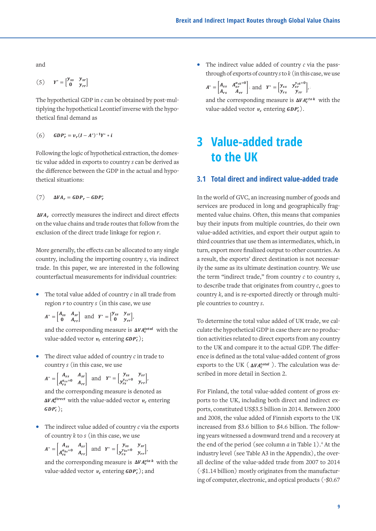� � and ∗ � �

� � and ∗ � �

∗ ₩ ₩ ₩ ₩ ₩ ₩ ₩ ₩

∗ ₩ ₩ ₩ ₩ ₩ ₩ ₩ ₩

and and  $\theta$   $\theta$  $\mathbf{and}$ 

$$
(5) \qquad Y^* = \begin{bmatrix} \mathbf{y}_{ss} & \mathbf{y}_{sr} \\ \mathbf{0} & \mathbf{y}_{rr} \end{bmatrix}
$$

The hypothetical GDP in *c* can be obtained by post-mul-<br>and the corresp The hypothetical GDP in *c* can be obtained by post multiplying the hypothetical Leontief inverse with the hypothetical ve thetical final demand as hypothetical final demand as hypothetical final demand as

of trade from country 4 to country 5, in our example). In the case of region *r*, blocks from that represent

(6) 
$$
GDP_r^* = v_r(I - A^*)^{-1}Y^* * i
$$

Following the logic of hypothetical extraction, the domestic value added in exports to country s can be derived as the difference between the GDP in the actual and hypo- $\frac{3.1}{2.1}$ 

(7) correctly measures the indirect and direct effects on the value chains and trade routes that follow from (7) � � ∗ (7) � �

 $\Delta V A_r$  correctly measures the indirect and direct effects mented value chains. Of on the value chains and trade routes that follow from the buy their inputs from exclusion of the direct trade linkage for region *r*. value-added activity More generally, the effects can be allocated to any single country including the importance including the import

More generally, the effects can be allocated to any single country, including the importing country s, via indirect a result, the exports' direct trade. In this paper, we are interested in the following counterfactual measurements for individual countries: 12

- The total value added of country *c* in all trade from region r to country s (in this case, we use ple countries to co
- $A^* = \begin{bmatrix} A_{ss} & A_{sr} \\ 0 & A_{rr} \end{bmatrix}$  and  $Y^* = \begin{bmatrix} \gamma_{ss} & \gamma_{sr} \\ 0 & \gamma_{rr} \end{bmatrix}$ , To deter • The total value added of country *c* in all trade from region *r* to country *s* (in this case, we use  $[0 \t A_{rr}]$   $[0 \t y_{rr}]$ • The total value added of country *c* in all trade from region *r* to country *s* (in this case, we use  $A^* = \begin{bmatrix} A_{ss} & A_{sr} \\ 0 & A_{rr} \end{bmatrix}$  and  $Y^* = \begin{bmatrix} y_{ss} & y_{sr} \\ 0 & y_{rr} \end{bmatrix}$ , To determine the total

and the corresponding measure is  $\Delta V A_c^{total}$  with the culate the h value-added vector  $v_c$  entering  $GDP_c^*$ ); tion and the corresponding measure is  $\Delta v_{ac}$  with the corresponding measure is  $\Delta v_{ac}$ and the corresponding measure is  $\Delta v$ 

• The direct value added of country *c* in trade to country *s* (in this case, we use country *s* (in this case, we use The direct • The direct value added of country *c* in trade to ence is defined as the country *s* (in this case, we use exports to the UK (  $\mathbf{v} = \mathbf{v} \cdot \mathbf{v}$ ;  $\mathbf{v} = \mathbf{v} \cdot \mathbf{v}$ • The direct value added of country *c* in trade  $x^2 + y^2$  and  $y^2 + z^2$  and  $y^2 + z^2$  and  $z^2$  and  $z^2$  and  $z^2$  and  $z^2$  and  $z^2$  and  $z^2$  and  $z^2$  and  $z^2$  and  $z^2$  and  $z^2$  and  $z^2$  and  $z^2$  and  $z^2$  and  $z^2$  and  $z^2$  and  $z^2$  and  $z^2$  and  $z^2$  and

$$
A^* = \begin{bmatrix} A_{ss} & A_{sr} \\ A_{rs}^{a_{cs}=0} & A_{rr} \end{bmatrix} \quad \text{and} \quad Y^* = \begin{bmatrix} y_{ss} & y_{sr} \\ y_{rs}^{y_{cs}=0} & y_{rr} \end{bmatrix}, \quad \text{scribed in more detail}
$$

 $A = \begin{bmatrix} A_{rs}^{a_{cs}=0} & A_{rr} \end{bmatrix}$  and  $I = \begin{bmatrix} y_{rs}^{y_{cs}=0} & y_{rr} \end{bmatrix}$ <br>and the corresponding measure is denoted as For Finland, the to  $\Delta VA_c^{direct}$  with the value-added vector  $v_c$  entering  $GDP_c^*$ );  $GDP_c^*$ ;  $\frac{1}{2}$  and  $\frac{1}{2}$  and  $\frac{1}{2}$  and  $\frac{1}{2}$  and  $\frac{1}{2}$  and  $\frac{1}{2}$  and  $\frac{1}{2}$  and  $\frac{1}{2}$  and  $\frac{1}{2}$  and  $\frac{1}{2}$  and  $\frac{1}{2}$  and  $\frac{1}{2}$  and  $\frac{1}{2}$  and  $\frac{1}{2}$  and  $\frac{1}{2}$  and  $\frac{1}{2}$  a  $\frac{1}{2}$   $\frac{1}{2}$   $\frac{1}{2}$   $\frac{1}{2}$   $\frac{1}{2}$   $\frac{1}{2}$   $\frac{1}{2}$   $\frac{1}{2}$   $\frac{1}{2}$   $\frac{1}{2}$   $\frac{1}{2}$   $\frac{1}{2}$   $\frac{1}{2}$   $\frac{1}{2}$   $\frac{1}{2}$   $\frac{1}{2}$   $\frac{1}{2}$   $\frac{1}{2}$   $\frac{1}{2}$   $\frac{1}{2}$   $\frac{1}{2}$   $\frac{1}{2}$   $\Delta V A_c^{unset}$  with the value-added vector<br>GDP $_c^*$  ); me corresponding measure is denoted as **AVA**<sup>direct</sup> with the value-added vector  $v_c$  entering  $\Delta V A_c^{arect}$  with the value-added vector  $v_c$  en<br>  $GDP_c^*$ );  $\ddot{\phantom{a}}$ 

• The indirect value added of country *c* via the exports of country  $k$  to  $s$  (in this case, we use  $\qquad \qquad$  ing years witnessed  $\mathbb{P}^1 \times \mathbb{P}^1 \times \mathbb{P}^1$  $n_{\text{inter}}$  indirect value added or country  $c$  via the exp • The indirect value added of country *c* via the exports increased from  $\oint$  of country *k* to *s* (in this case, we use in *s* in *s* in *s* in *s* exports of country  $k$  to  $s$  (in this case, we use  $\frac{1}{2}$  ing years witnesse dded of country *c* via the exports increas

$$
A^* = \begin{bmatrix} A_{ss} & A_{sr} \\ A_{rs}^{a_{ks}=0} & A_{rr} \end{bmatrix} \text{ and } Y^* = \begin{bmatrix} y_{ss} & y_{sr} \\ y_{rs}^{y_{ks}=0} & y_{rr} \end{bmatrix},
$$

and the corresponding measure is  $\Delta V A_c^{via}$  with the value-added vector  $v_c$  entering  $GDP_c^*$ ); and and the corresponding measure is  $\Delta V A_c^{via}$  with the value odded vector  $\mu$ , entering  $\Omega \mathbb{R}^*$ ), and and the corresponding measure is  $\Delta V A_c^{via}$  with the e-added vector  $v_c$  entering  $\omega P_c$ ); and and the corresponding measure is  $\Delta V A_c^{max}$  with the all decline of<br>value-added vector  $v_c$  entering  $GDP_c^*$ ); and (-\$1.14 billic<br>ing of computer  $[A_{rs}$ <sup>2</sup>  $A_{rr}$  and the corresponding measure is  $\Delta VA_c^{viak}$  with the all decline of the value-added vector  $v_c$  entering  $GDP_c^*$ ); and (-\$1.14 billion) mostle and ∗ ↑

• The indirect value added of country *c* via the passthrough of exports of country s to  $k$  (in this case, we use with the values of  $\mathbf{r}$  entering  $\mathbf{r}$ • The indirect value added of country via the passthrough of exports of country *s* to (in this • The total value added of country *c* in all trade from region *r* to country *s* (in this case, we use

∗ � �

� � and ∗ � �

 $\overline{\phantom{a}}$ 

and the corresponding measure is  $\Delta V A_c^{s\,to k}$  with the value-added vector  $v_c$  entering  $GDP_c^*$ ).  $A^* = \begin{bmatrix} A_{ss} & A_{sr}^{a_{sk}=0} \\ A_{rs} & A_{rr} \end{bmatrix}$  and  $Y^* = \begin{bmatrix} y_{ss} & y_{sr}^{y_{sk}=0} \\ y_{rs} & y_{rr} \end{bmatrix}$  $[A_{rs} \quad A_{rr}]$   $[y_{rs}]$ e-added vector  $v_c$  entering  $\mathit{GDP}^*_c$ );  $A_{rs}$   $A_{rr}$  |  $\qquad \qquad$   $\downarrow y_{rs}$   $y_i$ 

# **3** Value-added trade **to the UK** Following the logic of hypothetical extraction, the domestic value added in exports to country *s*  can be

#### **3.1** Total direct and indirect value-added trade where under the corresponding measure  $\frac{1}{2}$  and  $\frac{1}{2}$  and  $\frac{1}{2}$  and  $\frac{1}{2}$

(7)  $\Delta VA_r = GDP_r - GDP_r^*$  In the world of GVC, an increasing number of goods and services are produced in long and geographically fragmented value chains. Often, this means that companies buy their inputs from multiple countries, do their own buy their inputs from multiple countries, do their own<br>value-added activities, and export their output again to third countries that use them as intermediates, which, in turn, export more finalized output to other countries. As a result, the exports' direct destination is not necessarily the same as its ultimate destination country. We use the term "indirect trade," from country *c* to country *s*, to describe trade that originates from country *c*, goes to country *k*, and is re-exported directly or through multiple countries to country *s*.

To determine the total value added of UK trade, we calculate the hypothetical GDP in case there are no produc- $\overline{GDP_c^*}$ ; tion activities related to direct exports from any country to the UK and compare it to the actual GDP. The difference is defined as the total value-added content of gross The contract of the same of the state of the UK  $(\Delta V A_c^{total})$ . The calculation was detase, we use  $\exp(t)$  and  $\exp(t)$  and  $\exp(t)$ . The case of  $\exp(t)$  and  $\exp(t)$  are  $\exp(t)$  and  $\exp(t)$  are  $\exp(t)$  and  $\exp(t)$  are  $\exp(t)$  and  $\exp(t)$  are  $\exp(t)$  and  $\exp(t)$  are  $\exp(t)$  and  $\exp(t)$  are  $\exp(t)$  and  $\exp(t)$  are  $\exp(t)$  and mine the tota nt and the company of the state of the company of the company of the company of the company of the company of<br>The company of the company of the company of the company of the company of the company of the company of the c with the • The total value added of country *c* in all trade from region *r* to country *s* (in this case, we use activities re

mating measure is denoted as **the summandum** For Finland, the total value-added content of gross exports to the UK, including both direct and indirect ex- $GDP_c^*$ ;<br> $GDP_c^*$ ; and 2008, the value added of Finnish exports to the UK increased from \$3.6 billion to \$4.6 billion. The followe added or country c via the exports<br>(in this case, we use ing years witnessed a downward trend and a recovery at  $A^* = \begin{bmatrix} A_{ss} & A_{sr} \end{bmatrix}$  and  $V^* = \begin{bmatrix} y_{ss} & y_{sr} \end{bmatrix}$  the end of the period (see column a in Table 1).<sup>4</sup> At the  $A^* = \begin{bmatrix} a_{ks=0} & a_{rr} \end{bmatrix}$  and  $Y^* = \begin{bmatrix} y_{ks=0}^{y_{ks=0}} & y_{rr} \end{bmatrix}$ , industry level (see Table A3 in the Appendix), the overall decline of the value-added trade from 2007 to 2014 d (-\$1.14 billion) mostly originates from the manufacture value added vector  $v_c$  entering  $\omega P_c$ , and<br>ing of computer, electronic, and optical products (-\$0.67 • The indirect value added of country *c* via the exports of country *k* to *s* (in this case, we use ∗); • The indirect value added of country via the passthrough of exports of country *s* to (in this • The indirect value added of country *c* via the exports of country *k* to *s* (in this case, we use (-\$1.14 billion) mostly originates i industry level (see Table A3 in the  $\frac{1}{2}$ • The direct value added of country *c* in trade to country *s* (in this case, we use ∗ � • The direct value added of country *c* in trade to country *s* (in this case, we use ∗ �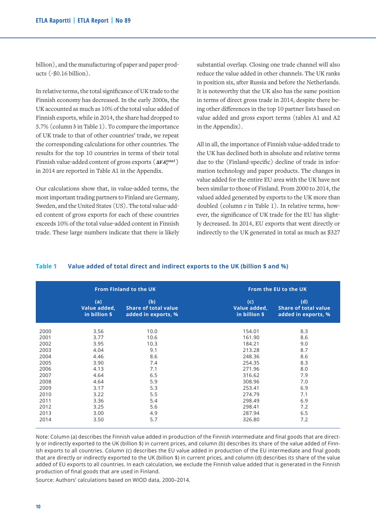billion), and the manufacturing of paper and paper products (-\$0.16 billion).

In relative terms, the total significance of UK trade to the Finnish economy has decreased. In the early 2000s, the UK accounted as much as 10% of the total value added of Finnish exports, while in 2014, the share had dropped to 5.7% (column *b* in Table 1). To compare the importance of UK trade to that of other countries' trade, we repeat the corresponding calculations for other countries. The results for the top 10 countries in terms of their total Finnish value-added content of gross exports  $(\Delta V A_c^{total})$ in 2014 are reported in Table A1 in the Appendix.

Our calculations show that, in value-added terms, the most important trading partners to Finland are Germany, Sweden, and the United States (US). The total value-added content of gross exports for each of these countries exceeds 10% of the total value-added content in Finnish trade. These large numbers indicate that there is likely

substantial overlap. Closing one trade channel will also reduce the value added in other channels. The UK ranks in position six, after Russia and before the Netherlands. It is noteworthy that the UK also has the same position in terms of direct gross trade in 2014, despite there being other differences in the top 10 partner lists based on value added and gross export terms (tables A1 and A2 in the Appendix).

All in all, the importance of Finnish value-added trade to the UK has declined both in absolute and relative terms due to the (Finland-specific) decline of trade in information technology and paper products. The changes in value added for the entire EU area with the UK have not been similar to those of Finland. From 2000 to 2014, the valued added generated by exports to the UK more than doubled (column *c* in Table 1). In relative terms, however, the significance of UK trade for the EU has slightly decreased. In 2014, EU exports that went directly or indirectly to the UK generated in total as much as \$327

|      |                                      | <b>From Finland to the UK</b>                             | From the EU to the UK                |                                                           |  |
|------|--------------------------------------|-----------------------------------------------------------|--------------------------------------|-----------------------------------------------------------|--|
|      | (a)<br>Value added,<br>in billion \$ | (b)<br><b>Share of total value</b><br>added in exports, % | (c)<br>Value added,<br>in billion \$ | (d)<br><b>Share of total value</b><br>added in exports, % |  |
| 2000 | 3.56                                 | 10.0                                                      | 154.01                               | 8.3                                                       |  |
| 2001 | 3.77                                 | 10.6                                                      | 161.90                               | 8.6                                                       |  |
| 2002 | 3.95                                 | 10.3                                                      | 184.21                               | 9.0                                                       |  |
| 2003 | 4.04                                 | 9.1                                                       | 213.28                               | 8.7                                                       |  |
| 2004 | 4.46                                 | 8.6                                                       | 248.36                               | 8.6                                                       |  |
| 2005 | 3.90                                 | 7.4                                                       | 254.35                               | 8.3                                                       |  |
| 2006 | 4.13                                 | 7.1                                                       | 271.96                               | 8.0                                                       |  |
| 2007 | 4.64                                 | 6.5                                                       | 316.62                               | 7.9                                                       |  |
| 2008 | 4.64                                 | 5.9                                                       | 308.96                               | 7.0                                                       |  |
| 2009 | 3.17                                 | 5.3                                                       | 253.41                               | 6.9                                                       |  |
| 2010 | 3.22                                 | 5.5                                                       | 274.79                               | 7.1                                                       |  |
| 2011 | 3.36                                 | 5.4                                                       | 298.49                               | 6.9                                                       |  |
| 2012 | 3.25                                 | 5.6                                                       | 298.41                               | 7.2                                                       |  |
| 2013 | 3.00                                 | 4.9                                                       | 287.94                               | 6.5                                                       |  |
| 2014 | 3.50                                 | 5.7                                                       | 326.80                               | 7.2                                                       |  |

# Table 1 Value added of total direct and indirect exports to the UK (billion \$ and %)

Note: Column (a) describes the Finnish value added in production of the Finnish intermediate and final goods that are directly or indirectly exported to the UK (billion \$) in current prices, and column (b) describes its share of the value added of Finnish exports to all countries. Column (c) describes the EU value added in production of the EU intermediate and final goods that are directly or indirectly exported to the UK (billion \$) in current prices, and column (d) describes its share of the value added of EU exports to all countries. In each calculation, we exclude the Finnish value added that is generated in the Finnish production of final goods that are used in Finland. 13

Source: Authors' calculations based on WIOD data, 2000–2014.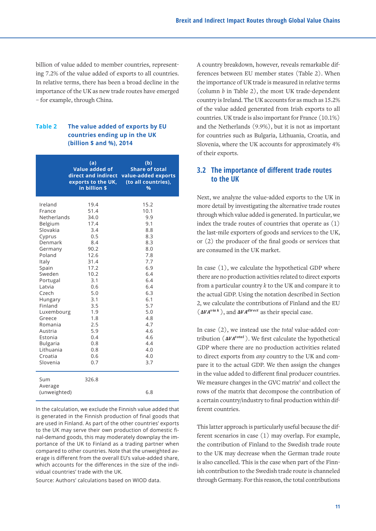billion of value added to member countries, representing 7.2% of the value added of exports to all countries. In relative terms, there has been a broad decline in the importance of the UK as new trade routes have emerged – for example, through China.

### **Table 2 The value added of exports by EU countries ending up in the UK (billion \$ and %), 2014**

is generated in the Finnish production of final goods that are used in Finland. As part of the other countries' exports to the UK may serve their own production of domestic fi-<br>this is the Finnish contribution to the Swedish trade route is also called the Swedish trade route is particularly useful because nal-demand goods, this may moderately downplay the importance of the UK to Finland as a trading partner when the contribution of Finland to the S compared to other countries. Note that the unweighted average is different from the overall EU's value-added share,  $\begin{bmatrix} 1 & 1 \\ 1 & 1 \end{bmatrix}$ which accounts for the differences in the size of the indi-<br>decompose the final part of the final producer contribution by the final producer contribution by the final part of the final producer contribution of the final p vidual countries' trade with the UK.

Source: Authors' calculations based on WIOD data.

A country breakdown, however, reveals remarkable differences between EU member states (Table 2). When the importance of UK trade is measured in relative terms (column *b* in Table 2), the most UK trade-dependent country is Ireland. The UK accounts for as much as 15.2% of the value added generated from Irish exports to all countries. UK trade is also important for France (10.1%) and the Netherlands (9.9%), but it is not as important for countries such as Bulgaria, Lithuania, Croatia, and Slovenia, where the UK accounts for approximately 4% of their exports.

# **3.2 The importance of different trade routes to the UK**

Next, we analyze the value-added exports to the UK in more detail by investigating the alternative trade routes through which value added is generated. In particular, we index the trade routes of countries that operate as (1) the last-mile exporters of goods and services to the UK, or (2) the producer of the final goods or services that are consumed in the UK market.

In case (1), we calculate the hypothetical GDP where there are no production activities related to direct exports  $0.4$  6.4 from a particular country k to the UK and compare it to exports from a particular countries for the actual GDP. Using the notation described in Section **has a particular compare it to the actual** GDP. Using the notation described in Section 3.1  $\begin{array}{ccc}\n 6.1 \\
 \hline\n 5.7\n \end{array}$  2, we calculate the contributions of Finland and the EU

In case (2), we instead use the *total* value-added con-**4.6** tribution (Δ*VA<sup>total</sup>)*. We first calculate the hypothetical contribution ( Δ*VA<sup>total</sup>*). GDP where there are no production activities related 0.6 4.0 to direct exports from any country to the UK and com-0./ 3./ pare it to the actual GDP. We then assign the changes in the value added to different final producer countries. We measure changes in the GVC matrix<sup>5</sup> and collect the ed) 6.8 compose the contribution of a certain country/industry to final production within different countries. In the calculation, we exclude the Finnish value added that  $\overline{\phantom{a}}$  ferent countries.  $\frac{d}{d\theta}$  are the second there is the production determines  $\sum_{i=1}^n$  ). We first calculate

This latter approach is particularly useful because the difdependence with production of domestic in the ferent scenarios in case (1) may overlap. For example, nland as a trading partner when the contribution of Finland to the Swedish trade route ries. Note that the unweighted av-<br>to the UK may decrease when the German trade route is also cancelled. This is the case when part of the Finntries' trade with the UK. The state of the Swedish trade route is channeled through Germany. For this reason, the total contributions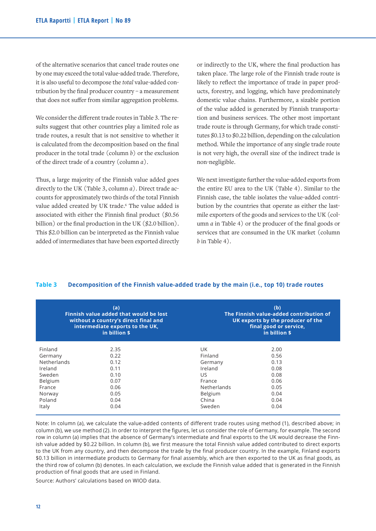of the alternative scenarios that cancel trade routes one by one may exceed the total value-added trade. Therefore, it is also useful to decompose the *total* value-added contribution by the final producer country – a measurement that does not suffer from similar aggregation problems.

We consider the different trade routes in Table 3. The results suggest that other countries play a limited role as trade routes, a result that is not sensitive to whether it is calculated from the decomposition based on the final producer in the total trade (column *b*) or the exclusion of the direct trade of a country (column *a*).

Thus, a large majority of the Finnish value added goes directly to the UK (Table 3, column *a*). Direct trade accounts for approximately two thirds of the total Finnish value added created by UK trade.<sup>6</sup> The value added is associated with either the Finnish final product (\$0.56 billion) or the final production in the UK (\$2.0 billion). This \$2.0 billion can be interpreted as the Finnish value added of intermediates that have been exported directly or indirectly to the UK, where the final production has taken place. The large role of the Finnish trade route is likely to reflect the importance of trade in paper products, forestry, and logging, which have predominately domestic value chains. Furthermore, a sizable portion of the value added is generated by Finnish transportation and business services. The other most important trade route is through Germany, for which trade constitutes \$0.13 to \$0.22 billion, depending on the calculation method. While the importance of any single trade route is not very high, the overall size of the indirect trade is non-negligible.

We next investigate further the value-added exports from the entire EU area to the UK (Table 4). Similar to the Finnish case, the table isolates the value-added contribution by the countries that operate as either the lastmile exporters of the goods and services to the UK (column *a* in Table 4) or the producer of the final goods or services that are consumed in the UK market (column  *in Table 4).* 

### **Table 3 Decomposition of the Finnish value-added trade by the main (i.e., top 10) trade routes**

|                    | (a)<br>Finnish value added that would be lost<br>without a country's direct final and<br>intermediate exports to the UK,<br>in billion \$ | (b)<br>The Finnish value-added contribution of<br>UK exports by the producer of the<br>final good or service.<br>in billion \$ |              |  |  |
|--------------------|-------------------------------------------------------------------------------------------------------------------------------------------|--------------------------------------------------------------------------------------------------------------------------------|--------------|--|--|
| Finland<br>Germany | 2.35<br>0.22                                                                                                                              | UK.<br>Finland                                                                                                                 | 2.00<br>0.56 |  |  |
| Netherlands        | 0.12                                                                                                                                      | Germany                                                                                                                        | 0.13         |  |  |
| Ireland            | 0.11                                                                                                                                      | Ireland                                                                                                                        | 0.08         |  |  |
| Sweden             | 0.10                                                                                                                                      | US.                                                                                                                            | 0.08         |  |  |
| Belgium            | 0.07                                                                                                                                      | France                                                                                                                         | 0.06         |  |  |
| France             | 0.06                                                                                                                                      | Netherlands                                                                                                                    | 0.05         |  |  |
| Norway             | 0.05                                                                                                                                      | Belgium                                                                                                                        | 0.04         |  |  |
| Poland             | 0.04                                                                                                                                      | China                                                                                                                          | 0.04         |  |  |
| Italy              | 0.04                                                                                                                                      | Sweden                                                                                                                         | 0.04         |  |  |

Note: In column (a), we calculate the value-added contents of different trade routes using method (1), described above; in column (b), we use method (2). In order to interpret the figures, let us consider the role of Germany, for example. The second row in column (a) implies that the absence of Germany's intermediate and final exports to the UK would decrease the Finnish value added by \$0.22 billion. In column (b), we first measure the total Finnish value added contributed to direct exports to the UK from any country, and then decompose the trade by the final producer country. In the example, Finland exports \$0.13 billion in intermediate products to Germany for final assembly, which are then exported to the UK as final goods, as the third row of column (b) denotes. In each calculation, we exclude the Finnish value added that is generated in the Finnish production of final goods that are used in Finland.

Source: Authors' calculations based on WIOD data.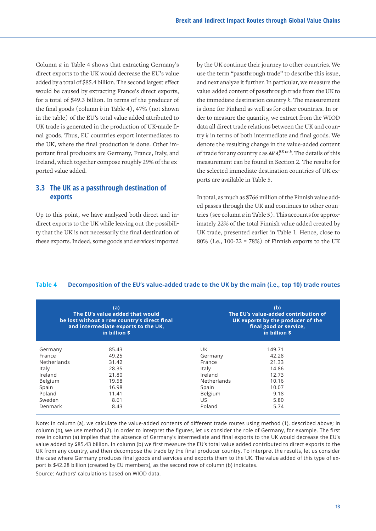Column *a* in Table 4 shows that extracting Germany's direct exports to the UK would decrease the EU's value added by a total of \$85.4 billion. The second largest effect would be caused by extracting France's direct exports, for a total of \$49.3 billion. In terms of the producer of the final goods (column *b* in Table 4), 47% (not shown in the table) of the EU's total value added attributed to UK trade is generated in the production of UK-made final goods. Thus, EU countries export intermediates to the UK, where the final production is done. Other important final producers are Germany, France, Italy, and Ireland, which together compose roughly 29% of the exported value added.

# **3.3 The UK as a passthrough destination of exports**

Up to this point, we have analyzed both direct and in-<br>tries direct exports to the UK while leaving out the possibility that the UK is not necessarily the final destination of these exports. Indeed, some goods and services imported  $\frac{1}{\sqrt{1-\frac{1}{\sqrt{1-\frac{1}{\sqrt{1-\frac{1}{\sqrt{1-\frac{1}{\sqrt{1-\frac{1}{\sqrt{1-\frac{1}{\sqrt{1-\frac{1}{\sqrt{1-\frac{1}{\sqrt{1-\frac{1}{\sqrt{1-\frac{1}{\sqrt{1-\frac{1}{\sqrt{1-\frac{1}{\sqrt{1-\frac{1}{\sqrt{1-\frac{1}{\sqrt{1-\frac{1}{\sqrt{1-\frac{1}{\sqrt{1-\frac{1}{\sqrt{1-\frac{1}{\sqrt{1-\frac{1}{\sqrt{1-\frac{1}{\sqrt{1-\frac{1}{\sqrt{1-\frac{1}{\sqrt{1-\frac{1}{\sqrt{1-\frac{1$ 

that extracting Germany's by the UK continue their journey to other countries. We use the term "passthrough trade" to describe this issue, n. The second largest effect and next analyze it further. In particular, we measure the imported is direct exports, walue-added content of passthrough trade from the UK to  $\alpha$  the immediate destination country *k*. The measurement is done for Finland as well as for other countries. In orl value added attributed to der to measure the quantity, we extract from the WIOD production of UK-made fi-countries and direct trade relations between the UK and countries. try *k* in terms of both intermediate and final goods. We trade in the value-added content the UK and content the UK and content intervalsed content intermediate and final good intermediate and final good intermediate and final good series of the value-added content ermany, France, Italy, and of trade for any country *c* as  $\Delta VA_c^{UK\ to\ k}$ . The details of this measurement can be found in Section 2. The results for the selected immediate destination countries of UK ex-measurement can be found in Section 2. The results for the selected immediate destination countries of UK ports are available in Table 5.

In total, as much as \$766 million of the Finnish value added passes through the UK and continues to other countries (see column  $a$  in Table 5). This accounts for approxleaving out the possibili- imately 22% of the total Finnish value added created by ly the final destination of WK trade, presented earlier in Table 1. Hence, close to ods and services imported 80% (i.e., 100-22 = 78%) of Finnish exports to the UK  $p_{\text{max}}$  the UK, is a linear  $\frac{1}{2}$ Ireland 42.2 China 3127.6

#### Table 4 Decomposition of the EU's value-added trade to the UK by the main (i.e., top 10) trade routes  $\alpha$  and  $\alpha$  summer added trade to the order  $\alpha$  including the  $\alpha$

|             | (a)<br>The EU's value added that would<br>be lost without a row country's direct final<br>and intermediate exports to the UK,<br>in billion \$ | (b)<br>The EU's value-added contribution of<br>UK exports by the producer of the<br>final good or service.<br>in billion \$ |        |  |  |
|-------------|------------------------------------------------------------------------------------------------------------------------------------------------|-----------------------------------------------------------------------------------------------------------------------------|--------|--|--|
| Germany     | 85.43                                                                                                                                          | UK.                                                                                                                         | 149.71 |  |  |
| France      | 49.25                                                                                                                                          | Germany                                                                                                                     | 42.28  |  |  |
| Netherlands | 31.42                                                                                                                                          | France                                                                                                                      | 21.33  |  |  |
| Italy       | 28.35                                                                                                                                          | Italy                                                                                                                       | 14.86  |  |  |
| Ireland     | 21.80                                                                                                                                          | Ireland                                                                                                                     | 12.73  |  |  |
| Belgium     | 19.58                                                                                                                                          | Netherlands                                                                                                                 | 10.16  |  |  |
| Spain       | 16.98                                                                                                                                          | Spain                                                                                                                       | 10.07  |  |  |
| Poland      | 11.41                                                                                                                                          | Belgium                                                                                                                     | 9.18   |  |  |
| Sweden      | 8.61                                                                                                                                           | US.                                                                                                                         | 5.80   |  |  |
| Denmark     | 8.43                                                                                                                                           | Poland                                                                                                                      | 5.74   |  |  |

Note: In column (a), we calculate the value-added contents of different trade routes using method (1), described above; in column (b), we use method (2). In order to interpret the figures, let us consider the role of Germany, for example. The first row in column (a) implies that the absence of Germany's intermediate and final exports to the UK would decrease the EU's value added by \$85.43 billion. In column (b) we first measure the EU's total value added contributed to direct exports to the UK from any country, and then decompose the trade by the final producer country. To interpret the results, let us consider the case where Germany produces final goods and services and exports them to the UK. The value added of this type of export is \$42.28 billion (created by EU members), as the second row of column (b) indicates.

Source: Authors' calculations based on WIOD data.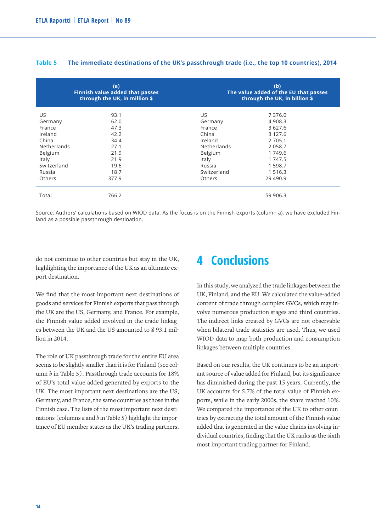|               | (a)<br><b>Finnish value added that passes</b><br>through the UK, in million \$ |                    | (b)<br>The value added of the EU that passes<br>through the UK, in billion \$ |
|---------------|--------------------------------------------------------------------------------|--------------------|-------------------------------------------------------------------------------|
| US.           | 93.1                                                                           | US.                | 7 3 7 6 .0                                                                    |
| Germany       | 62.0                                                                           | Germany            | 4 9 0 8.3                                                                     |
| France        | 47.3                                                                           | France             | 3 6 2 7 . 6                                                                   |
| Ireland       | 42.2                                                                           | China              | 3 1 2 7 . 6                                                                   |
| China         | 34.4                                                                           | Ireland            | 2 7 0 5 .1                                                                    |
| Netherlands   | 27.1                                                                           | <b>Netherlands</b> | 2 0 5 8.7                                                                     |
| Belgium       | 21.9                                                                           | Belgium            | 1 749.6                                                                       |
| Italy         | 21.9                                                                           | Italy              | 1 747.5                                                                       |
| Switzerland   | 19.6                                                                           | Russia             | 1 5 9 8 . 7                                                                   |
| Russia        | 18.7                                                                           | Switzerland        | 1 5 1 6 . 3                                                                   |
| <b>Others</b> | 377.9                                                                          | Others             | 29 4 9 0.9                                                                    |
| Total         | 766.2                                                                          |                    | 59 906.3                                                                      |

#### **Table 5 The immediate destinations of the UK's passthrough trade (i.e., the top 10 countries), 2014**

Source: Authors' calculations based on WIOD data. As the focus is on the Finnish exports (column a), we have excluded Finland as a possible passthrough destination.

do not continue to other countries but stay in the UK, highlighting the importance of the UK as an ultimate export destination.

We find that the most important next destinations of goods and services for Finnish exports that pass through the UK are the US, Germany, and France. For example, the Finnish value added involved in the trade linkages between the UK and the US amounted to \$ 93.1 million in 2014.

The role of UK passthrough trade for the entire EU area seems to be slightly smaller than it is for Finland (see column *b* in Table 5). Passthrough trade accounts for 18% of EU's total value added generated by exports to the UK. The most important next destinations are the US, Germany, and France, the same countries as those in the Finnish case. The lists of the most important next destinations (columns *a* and *b* in Table 5) highlight the importance of EU member states as the UK's trading partners.

# **4 Conclusions**

In this study, we analyzed the trade linkages between the UK, Finland, and the EU. We calculated the value-added content of trade through complex GVCs, which may involve numerous production stages and third countries. The indirect links created by GVCs are not observable when bilateral trade statistics are used. Thus, we used WIOD data to map both production and consumption linkages between multiple countries.

Based on our results, the UK continues to be an important source of value added for Finland, but its significance has diminished during the past 15 years. Currently, the UK accounts for 5.7% of the total value of Finnish exports, while in the early 2000s, the share reached 10%. We compared the importance of the UK to other countries by extracting the total amount of the Finnish value added that is generated in the value chains involving individual countries, finding that the UK ranks as the sixth most important trading partner for Finland.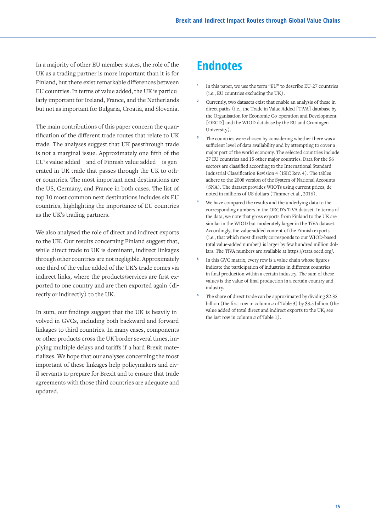In a majority of other EU member states, the role of the UK as a trading partner is more important than it is for Finland, but there exist remarkable differences between EU countries. In terms of value added, the UK is particularly important for Ireland, France, and the Netherlands but not as important for Bulgaria, Croatia, and Slovenia.

The main contributions of this paper concern the quantification of the different trade routes that relate to UK trade. The analyses suggest that UK passthrough trade is not a marginal issue. Approximately one fifth of the EU's value added – and of Finnish value added – is generated in UK trade that passes through the UK to other countries. The most important next destinations are the US, Germany, and France in both cases. The list of top 10 most common next destinations includes six EU countries, highlighting the importance of EU countries as the UK's trading partners.

We also analyzed the role of direct and indirect exports to the UK. Our results concerning Finland suggest that, while direct trade to UK is dominant, indirect linkages through other countries are not negligible. Approximately one third of the value added of the UK's trade comes via indirect links, where the products/services are first exported to one country and are then exported again (directly or indirectly) to the UK.

In sum, our findings suggest that the UK is heavily involved in GVCs, including both backward and forward linkages to third countries. In many cases, components or other products cross the UK border several times, implying multiple delays and tariffs if a hard Brexit materializes. We hope that our analyses concerning the most important of these linkages help policymakers and civil servants to prepare for Brexit and to ensure that trade agreements with those third countries are adequate and updated.

# **Endnotes**

- **<sup>1</sup>** In this paper, we use the term "EU" to describe EU-27 countries (i.e., EU countries excluding the UK).
- **<sup>2</sup>** Currently, two datasets exist that enable an analysis of these indirect paths (i.e., the Trade in Value Added [TiVA] database by the Organisation for Economic Co-operation and Development [OECD] and the WIOD database by the EU and Groningen University).
- **<sup>3</sup>** The countries were chosen by considering whether there was a sufficient level of data availability and by attempting to cover a major part of the world economy. The selected countries include 27 EU countries and 15 other major countries. Data for the 56 sectors are classified according to the International Standard Industrial Classification Revision 4 (ISIC Rev. 4). The tables adhere to the 2008 version of the System of National Accounts (SNA). The dataset provides WIOTs using current prices, denoted in millions of US dollars (Timmer et al., 2016).
- **<sup>4</sup>** We have compared the results and the underlying data to the corresponding numbers in the OECD's TiVA dataset. In terms of the data, we note that gross exports from Finland to the UK are similar in the WIOD but moderately larger in the TiVA dataset. Accordingly, the value-added content of the Finnish exports (i.e., that which most directly corresponds to our WIOD-based total value-added number) is larger by few hundred million dollars. The TiVA numbers are available at https://stats.oecd.org/.
- **<sup>5</sup>** In this GVC matrix, every row is a value chain whose figures indicate the participation of industries in different countries in final production within a certain industry. The sum of these values is the value of final production in a certain country and industry.
- The share of direct trade can be approximated by dividing \$2.35 billion (the first row in column *a* of Table 3) by \$3.5 billion (the value added of total direct and indirect exports to the UK; see the last row in column *a* of Table 1).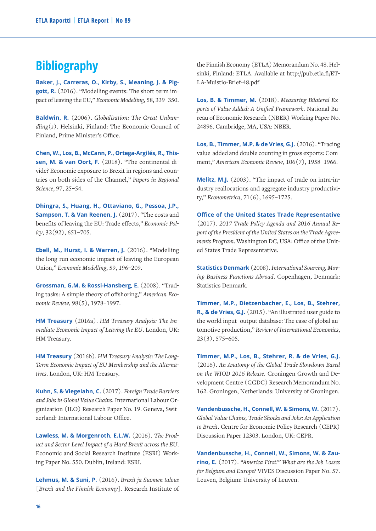# **Bibliography**

**Baker, J., Carreras, O., Kirby, S., Meaning, J. & Piggott, R.** (2016). "Modelling events: The short-term impact of leaving the EU," *Economic Modelling*, 58, 339–350.

**Baldwin, R.** (2006). *Globalisation: The Great Unbundling(s)*. Helsinki, Finland: The Economic Council of Finland, Prime Minister's Office.

**Chen, W., Los, B., McCann, P., Ortega-Argilés, R., Thissen, M. & van Oort, F.** (2018). "The continental divide? Economic exposure to Brexit in regions and countries on both sides of the Channel," *Papers in Regional Science*, 97, 25–54.

**Dhingra, S., Huang, H., Ottaviano, G., Pessoa, J.P., Sampson, T. & Van Reenen, J.** (2017). "The costs and benefits of leaving the EU: Trade effects," *Economic Policy*, 32(92), 651–705.

**Ebell, M., Hurst, I. & Warren, J.** (2016). "Modelling the long-run economic impact of leaving the European Union," *Economic Modelling*, 59, 196–209.

**Grossman, G.M. & Rossi-Hansberg, E.** (2008). "Trading tasks: A simple theory of offshoring," *American Economic Review*, 98(5), 1978–1997.

**HM Treasury** (2016a). *HM Treasury Analysis: The Immediate Economic Impact of Leaving the EU*. London, UK: HM Treasury.

**HM Treasury** (2016b). *HM Treasury Analysis: The Long-Term Economic Impact of EU Membership and the Alternatives*. London, UK: HM Treasury.

**Kuhn, S. & Viegelahn, C.** (2017). *Foreign Trade Barriers and Jobs in Global Value Chains*. International Labour Organization (ILO) Research Paper No. 19. Geneva, Switzerland: International Labour Office.

**Lawless, M. & Morgenroth, E.L.W.** (2016). *The Product and Sector Level Impact of a Hard Brexit across the EU*. Economic and Social Research Institute (ESRI) Working Paper No. 550. Dublin, Ireland: ESRI.

**Lehmus, M. & Suni, P.** (2016). *Brexit ja Suomen talous [Brexit and the Finnish Economy]*. Research Institute of the Finnish Economy (ETLA) Memorandum No. 48. Helsinki, Finland: ETLA. Available at http://pub.etla.fi/ET-LA-Muistio-Brief-48.pdf

**Los, B. & Timmer, M.** (2018). *Measuring Bilateral Exports of Value Added: A Unified Framework*. National Bureau of Economic Research (NBER) Working Paper No. 24896. Cambridge, MA, USA: NBER.

**Los, B., Timmer, M.P. & de Vries, G.J.** (2016). "Tracing value-added and double counting in gross exports: Comment," *American Economic Review*, 106(7), 1958–1966.

**Melitz, M.J.** (2003). "The impact of trade on intra-industry reallocations and aggregate industry productivity," *Econometrica*, 71(6), 1695–1725.

**Office of the United States Trade Representative** (2017). *2017 Trade Policy Agenda and 2016 Annual Report of the President of the United States on the Trade Agreements Program*. Washington DC, USA: Office of the United States Trade Representative.

**Statistics Denmark** (2008). *International Sourcing, Moving Business Functions Abroad*. Copenhagen, Denmark: Statistics Denmark.

**Timmer, M.P., Dietzenbacher, E., Los, B., Stehrer, R., & de Vries, G.J.** (2015). "An illustrated user guide to the world input–output database: The case of global automotive production," *Review of International Economics*, 23(3), 575–605.

**Timmer, M.P., Los, B., Stehrer, R. & de Vries, G.J.** (2016). *An Anatomy of the Global Trade Slowdown Based on the WIOD 2016 Release*. Groningen Growth and Development Centre (GGDC) Research Memorandum No. 162. Groningen, Netherlands: University of Groningen.

**Vandenbussche, H., Connell, W. & Simons, W.** (2017). *Global Value Chains, Trade Shocks and Jobs: An Application to Brexit*. Centre for Economic Policy Research (CEPR) Discussion Paper 12303. London, UK: CEPR.

**Vandenbussche, H., Connell, W., Simons, W. & Zaurino, E.** (2017). *"America First!" What are the Job Losses for Belgium and Europe?* VIVES Discussion Paper No. 57. Leuven, Belgium: University of Leuven.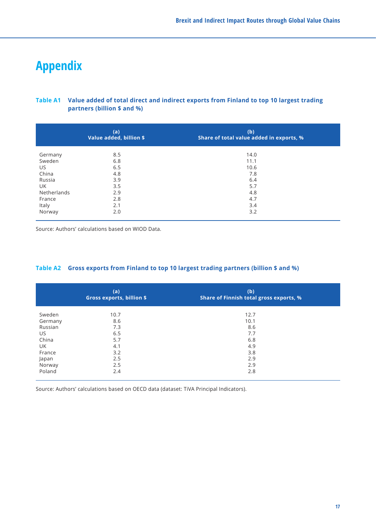# **Appendix**

# **Table A1 Value added of total direct and indirect exports from Finland to top 10 largest trading partners (billion \$ and %)**

|             | (a)<br>Value added, billion \$ | (b)<br>Share of total value added in exports, % |
|-------------|--------------------------------|-------------------------------------------------|
| Germany     | 8.5                            | 14.0                                            |
| Sweden      | 6.8                            | 11.1                                            |
| US          | 6.5                            | 10.6                                            |
| China       | 4.8                            | 7.8                                             |
| Russia      | 3.9                            | 6.4                                             |
| UK          | 3.5                            | 5.7                                             |
| Netherlands | 2.9                            | 4.8                                             |
| France      | 2.8                            | 4.7                                             |
| Italy       | 2.1                            | 3.4                                             |
| Norway      | 2.0                            | 3.2                                             |

Source: Authors' calculations based on WIOD Data.

# **Table A2 Gross exports from Finland to top 10 largest trading partners (billion \$ and %)**

|         | (a)<br><b>Gross exports, billion \$</b> | (b)<br>Share of Finnish total gross exports, % |
|---------|-----------------------------------------|------------------------------------------------|
| Sweden  | 10.7                                    | 12.7                                           |
| Germany | 8.6                                     | 10.1                                           |
| Russian | 7.3                                     | 8.6                                            |
| US.     | 6.5                                     | 7.7                                            |
| China   | 5.7                                     | 6.8                                            |
| UK      | 4.1                                     | 4.9                                            |
| France  | 3.2                                     | 3.8                                            |
| Japan   | 2.5                                     | 2.9                                            |
| Norway  | 2.5                                     | 2.9                                            |
| Poland  | 2.4                                     | 2.8                                            |

Source: Authors' calculations based on OECD data (dataset: TiVA Principal Indicators).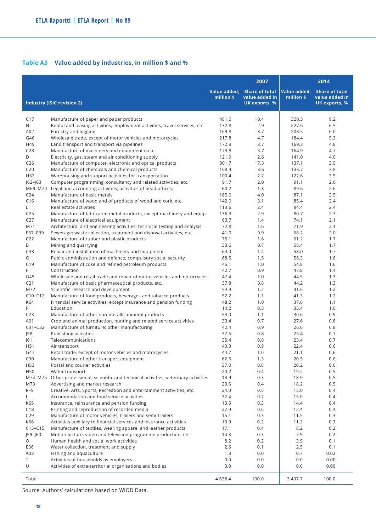# **Table A3 Value added by industries, in million \$ and %**

|                                    |                                                                                                            |                            | 2007                                                     |                            | 2014                                                     |
|------------------------------------|------------------------------------------------------------------------------------------------------------|----------------------------|----------------------------------------------------------|----------------------------|----------------------------------------------------------|
|                                    | <b>Industry (ISIC revision 2)</b>                                                                          | Value added,<br>million \$ | <b>Share of total</b><br>value added in<br>UK exports, % | Value added.<br>million \$ | <b>Share of total</b><br>value added in<br>UK exports, % |
|                                    |                                                                                                            |                            |                                                          |                            |                                                          |
| C17                                | Manufacture of paper and paper products                                                                    | 481.0                      | 10.4                                                     | 320.3                      | 9.2                                                      |
| N                                  | Rental and leasing activities, employment activities, travel services, etc.                                | 132.8                      | 2.9                                                      | 227.6                      | 6.5                                                      |
| A02                                | Forestry and logging                                                                                       | 169.8                      | 3.7                                                      | 208.5                      | 6.0                                                      |
| G46                                | Wholesale trade, except of motor vehicles and motorcycles                                                  | 217.8                      | 4.7                                                      | 184.4                      | 5.3                                                      |
| H49                                | Land transport and transport via pipelines                                                                 | 172.9                      | 3.7                                                      | 169.3                      | 4.8                                                      |
| C <sub>28</sub>                    | Manufacture of machinery and equipment n.e.c.                                                              | 173.8                      | 3.7                                                      | 164.9                      | 4.7                                                      |
| D                                  | Electricity, gas, steam and air conditioning supply                                                        | 121.9                      | 2.6                                                      | 141.0                      | 4.0                                                      |
| C <sub>26</sub><br>C <sub>20</sub> | Manufacture of computer, electronic and optical products<br>Manufacture of chemicals and chemical products | 801.7<br>168.4             | 17.3<br>3.6                                              | 137.1<br>133.7             | 3.9<br>3.8                                               |
| H52                                | Warehousing and support activities for transportation                                                      | 100.4                      | 2.2                                                      | 122.6                      | 3.5                                                      |
| $ 62 -  63 $                       | Computer programming, consultancy and related activities, etc.                                             | 91.7                       | 2.0                                                      | 91.1                       | 2.6                                                      |
| M69-M70                            | Legal and accounting activities; activities of head offices;                                               | 60.2                       | 1.3                                                      | 89.6                       | 2.6                                                      |
| C <sub>24</sub>                    | Manufacture of basic metals                                                                                | 185.0                      | 4.0                                                      | 87.1                       | 2.5                                                      |
| C16                                | Manufacture of wood and of products of wood and cork, etc.                                                 | 142.0                      | 3.1                                                      | 85.4                       | 2.4                                                      |
| L                                  | Real estate activities                                                                                     | 113.6                      | 2.4                                                      | 84.4                       | 2.4                                                      |
| C <sub>25</sub>                    | Manufacture of fabricated metal products, except machinery and equip.                                      | 136.3                      | 2.9                                                      | 80.7                       | 2.3                                                      |
| C <sub>27</sub>                    | Manufacture of electrical equipment                                                                        | 63.7                       | 1.4                                                      | 74.1                       | 2.1                                                      |
| M71                                | Architectural and engineering activities; technical testing and analysis                                   | 72.8                       | 1.6                                                      | 71.9                       | 2.1                                                      |
| E37-E39                            | Sewerage; waste collection, treatment and disposal activities; etc.                                        | 41.0                       | 0.9                                                      | 68.2                       | 2.0                                                      |
| C <sub>22</sub>                    | Manufacture of rubber and plastic products                                                                 | 75.1                       | 1.6                                                      | 61.2                       | 1.7                                                      |
| B                                  | Mining and quarrying                                                                                       | 33.6                       | 0.7                                                      | 58.4                       | 1.7                                                      |
| C <sub>33</sub>                    | Repair and installation of machinery and equipment                                                         | 64.0                       | 1.4                                                      | 58.0                       | 1.7                                                      |
| O                                  | Public administration and defence; compulsory social security                                              | 68.5                       | 1.5                                                      | 56.3                       | 1.6                                                      |
| C19                                | Manufacture of coke and refined petroleum products                                                         | 45.1                       | 1.0                                                      | 54.8                       | 1.6                                                      |
| F                                  | Construction                                                                                               | 42.7                       | 0.9                                                      | 47.8                       | 1.4                                                      |
| G45                                | Wholesale and retail trade and repair of motor vehicles and motorcycles                                    | 47.4                       | 1.0                                                      | 44.5                       | 1.3                                                      |
| C <sub>21</sub><br>M72             | Manufacture of basic pharmaceutical products, etc.<br>Scientific research and development                  | 37.8<br>54.9               | 0.8<br>1.2                                               | 44.2<br>41.6               | 1.3<br>1.2                                               |
| $C10-C12$                          | Manufacture of food products, beverages and tobacco products                                               | 52.2                       | 1.1                                                      | 41.3                       | 1.2                                                      |
| K64                                | Financial service activities, except insurance and pension funding                                         | 48.2                       | 1.0                                                      | 37.6                       | 1.1                                                      |
| P                                  | Education                                                                                                  | 14.2                       | 0.3                                                      | 33.4                       | 1.0                                                      |
| C <sub>23</sub>                    | Manufacture of other non-metallic mineral products                                                         | 53.0                       | 1.1                                                      | 30.6                       | 0.9                                                      |
| A01                                | Crop and animal production, hunting and related service activities                                         | 33.4                       | 0.7                                                      | 27.6                       | 0.8                                                      |
| $C31-C32$                          | Manufacture of furniture; other manufacturing                                                              | 42.4                       | 0.9                                                      | 26.6                       | 0.8                                                      |
| 58                                 | Publishing activities                                                                                      | 37.5                       | 0.8                                                      | 25.4                       | 0.7                                                      |
| 61                                 | Telecommunications                                                                                         | 35.4                       | 0.8                                                      | 23.4                       | 0.7                                                      |
| H51                                | Air transport                                                                                              | 40.3                       | 0.9                                                      | 22.4                       | 0.6                                                      |
| G47                                | Retail trade, except of motor vehicles and motorcycles                                                     | 44.7                       | 1.0                                                      | 21.1                       | 0.6                                                      |
| C30                                | Manufacture of other transport equipment                                                                   | 62.5                       | 1.3                                                      | 20.5                       | 0.6                                                      |
| H53                                | Postal and courier activities                                                                              | 37.0                       | 0.8                                                      | 20.2                       | 0.6                                                      |
| H50                                | Water transport                                                                                            | 20.2                       | 0.4                                                      | 19.2                       | 0.5                                                      |
| M74-M75                            | Other professional, scientific and technical activities; veterinary activities                             | 13.9                       | 0.3                                                      | 18.9                       | 0.5                                                      |
| M73                                | Advertising and market research                                                                            | 20.6                       | 0.4                                                      | 18.2                       | 0.5                                                      |
| $R-S$                              | Creative, Arts, Sports, Recreation and entertainment activities, etc.                                      | 24.0                       | 0.5                                                      | 15.0                       | 0.4                                                      |
| L                                  | Accommodation and food service activities<br>Insurance, reinsurance and pension funding                    | 32.4<br>13.5               | 0.7<br>0.3                                               | 15.0<br>14.4               | 0.4<br>0.4                                               |
| K65<br>C18                         | Printing and reproduction of recorded media                                                                | 27.9                       | 0.6                                                      | 12.4                       | 0.4                                                      |
| C29                                | Manufacture of motor vehicles, trailers and semi-trailers                                                  | 15.1                       | 0.3                                                      | 11.5                       | 0.3                                                      |
| K66                                | Activities auxiliary to financial services and insurance activities                                        | 10.9                       | 0.2                                                      | 11.2                       | 0.3                                                      |
| $C13-C15$                          | Manufacture of textiles, wearing apparel and leather products                                              | 17.1                       | 0.4                                                      | 8.2                        | 0.2                                                      |
| J59–J60                            | Motion picture, video and television programme production, etc.                                            | 14.3                       | 0.3                                                      | 7.9                        | 0.2                                                      |
| Q                                  | Human health and social work activities                                                                    | 8.2                        | 0.2                                                      | 3.9                        | 0.1                                                      |
| E36                                | Water collection, treatment and supply                                                                     | 2.6                        | 0.1                                                      | 2.5                        | 0.1                                                      |
| A03                                | Fishing and aquaculture                                                                                    | 1.3                        | 0.0                                                      | 0.7                        | 0.02                                                     |
| Τ                                  | Activities of households as employers                                                                      | 0.0                        | 0.0                                                      | 0.0                        | 0.00                                                     |
| U                                  | Activities of extra-territorial organisations and bodies                                                   | 0.0                        | 0.0                                                      | 0.0                        | 0.00                                                     |
| Total                              |                                                                                                            | 4 6 3 8.4                  | 100.0                                                    | 3 497.7                    | 100.0                                                    |

Source: Authors' calculations based on WIOD Data.